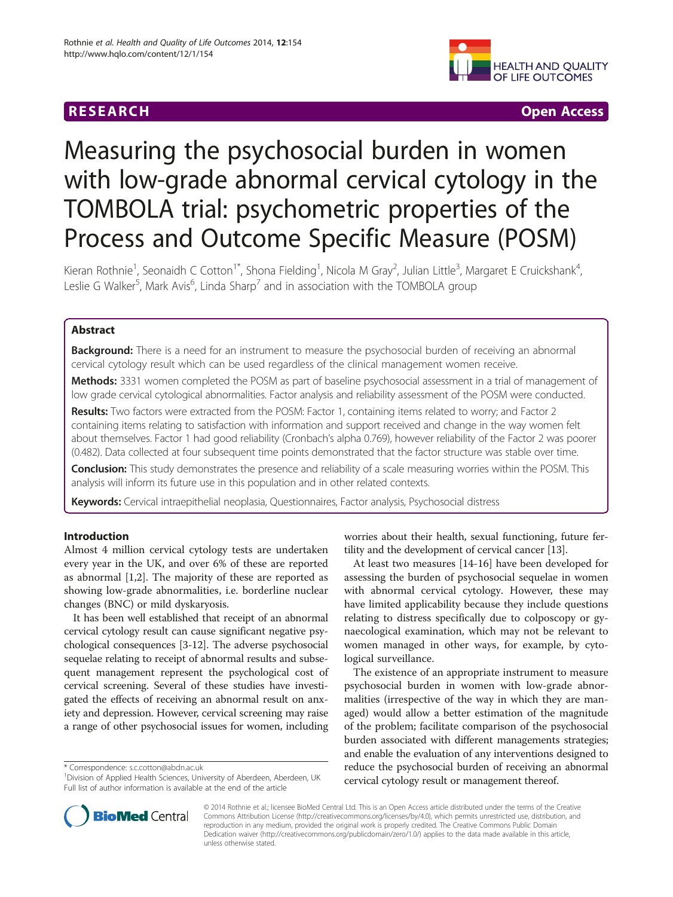# **RESEARCH RESEARCH** *CHECKER CHECKER CHECKER CHECKER CHECKER CHECKER CHECKER CHECKER CHECKER CHECKER CHECKER*



# Measuring the psychosocial burden in women with low-grade abnormal cervical cytology in the TOMBOLA trial: psychometric properties of the Process and Outcome Specific Measure (POSM)

Kieran Rothnie<sup>1</sup>, Seonaidh C Cotton<sup>1\*</sup>, Shona Fielding<sup>1</sup>, Nicola M Gray<sup>2</sup>, Julian Little<sup>3</sup>, Margaret E Cruickshank<sup>4</sup> , Leslie G Walker<sup>5</sup>, Mark Avis<sup>6</sup>, Linda Sharp<sup>7</sup> and in association with the TOMBOLA group

# Abstract

Background: There is a need for an instrument to measure the psychosocial burden of receiving an abnormal cervical cytology result which can be used regardless of the clinical management women receive.

Methods: 3331 women completed the POSM as part of baseline psychosocial assessment in a trial of management of low grade cervical cytological abnormalities. Factor analysis and reliability assessment of the POSM were conducted.

Results: Two factors were extracted from the POSM: Factor 1, containing items related to worry; and Factor 2 containing items relating to satisfaction with information and support received and change in the way women felt about themselves. Factor 1 had good reliability (Cronbach's alpha 0.769), however reliability of the Factor 2 was poorer (0.482). Data collected at four subsequent time points demonstrated that the factor structure was stable over time.

**Conclusion:** This study demonstrates the presence and reliability of a scale measuring worries within the POSM. This analysis will inform its future use in this population and in other related contexts.

Keywords: Cervical intraepithelial neoplasia, Questionnaires, Factor analysis, Psychosocial distress

#### Introduction

Almost 4 million cervical cytology tests are undertaken every year in the UK, and over 6% of these are reported as abnormal [[1,2\]](#page-7-0). The majority of these are reported as showing low-grade abnormalities, i.e. borderline nuclear changes (BNC) or mild dyskaryosis.

It has been well established that receipt of an abnormal cervical cytology result can cause significant negative psychological consequences [[3-12\]](#page-7-0). The adverse psychosocial sequelae relating to receipt of abnormal results and subsequent management represent the psychological cost of cervical screening. Several of these studies have investigated the effects of receiving an abnormal result on anxiety and depression. However, cervical screening may raise a range of other psychosocial issues for women, including

\* Correspondence: [s.c.cotton@abdn.ac.uk](mailto:s.c.cotton@abdn.ac.uk) <sup>1</sup>



At least two measures [[14](#page-7-0)-[16\]](#page-8-0) have been developed for assessing the burden of psychosocial sequelae in women with abnormal cervical cytology. However, these may have limited applicability because they include questions relating to distress specifically due to colposcopy or gynaecological examination, which may not be relevant to women managed in other ways, for example, by cytological surveillance.

The existence of an appropriate instrument to measure psychosocial burden in women with low-grade abnormalities (irrespective of the way in which they are managed) would allow a better estimation of the magnitude of the problem; facilitate comparison of the psychosocial burden associated with different managements strategies; and enable the evaluation of any interventions designed to reduce the psychosocial burden of receiving an abnormal cervical cytology result or management thereof.



© 2014 Rothnie et al.; licensee BioMed Central Ltd. This is an Open Access article distributed under the terms of the Creative Commons Attribution License [\(http://creativecommons.org/licenses/by/4.0\)](http://creativecommons.org/licenses/by/4.0), which permits unrestricted use, distribution, and reproduction in any medium, provided the original work is properly credited. The Creative Commons Public Domain Dedication waiver [\(http://creativecommons.org/publicdomain/zero/1.0/](http://creativecommons.org/publicdomain/zero/1.0/)) applies to the data made available in this article, unless otherwise stated.

<sup>&</sup>lt;sup>1</sup> Division of Applied Health Sciences, University of Aberdeen, Aberdeen, UK Full list of author information is available at the end of the article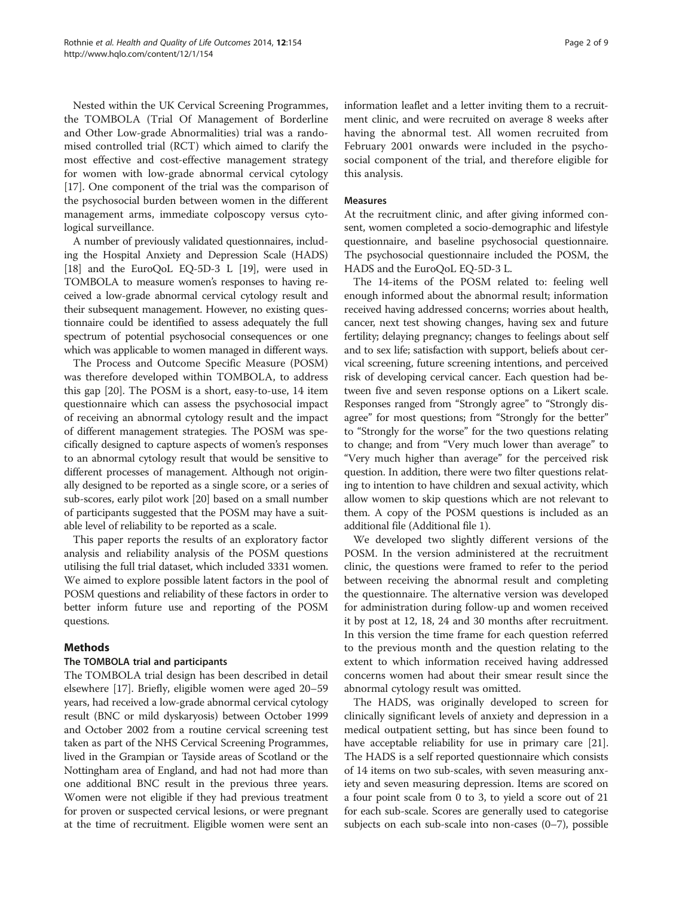Nested within the UK Cervical Screening Programmes, the TOMBOLA (Trial Of Management of Borderline and Other Low-grade Abnormalities) trial was a randomised controlled trial (RCT) which aimed to clarify the most effective and cost-effective management strategy for women with low-grade abnormal cervical cytology [[17\]](#page-8-0). One component of the trial was the comparison of the psychosocial burden between women in the different management arms, immediate colposcopy versus cytological surveillance.

A number of previously validated questionnaires, including the Hospital Anxiety and Depression Scale (HADS) [[18](#page-8-0)] and the EuroQoL EQ-5D-3 L [[19\]](#page-8-0), were used in TOMBOLA to measure women's responses to having received a low-grade abnormal cervical cytology result and their subsequent management. However, no existing questionnaire could be identified to assess adequately the full spectrum of potential psychosocial consequences or one which was applicable to women managed in different ways.

The Process and Outcome Specific Measure (POSM) was therefore developed within TOMBOLA, to address this gap [[20](#page-8-0)]. The POSM is a short, easy-to-use, 14 item questionnaire which can assess the psychosocial impact of receiving an abnormal cytology result and the impact of different management strategies. The POSM was specifically designed to capture aspects of women's responses to an abnormal cytology result that would be sensitive to different processes of management. Although not originally designed to be reported as a single score, or a series of sub-scores, early pilot work [\[20\]](#page-8-0) based on a small number of participants suggested that the POSM may have a suitable level of reliability to be reported as a scale.

This paper reports the results of an exploratory factor analysis and reliability analysis of the POSM questions utilising the full trial dataset, which included 3331 women. We aimed to explore possible latent factors in the pool of POSM questions and reliability of these factors in order to better inform future use and reporting of the POSM questions.

#### Methods

#### The TOMBOLA trial and participants

The TOMBOLA trial design has been described in detail elsewhere [\[17](#page-8-0)]. Briefly, eligible women were aged 20–59 years, had received a low-grade abnormal cervical cytology result (BNC or mild dyskaryosis) between October 1999 and October 2002 from a routine cervical screening test taken as part of the NHS Cervical Screening Programmes, lived in the Grampian or Tayside areas of Scotland or the Nottingham area of England, and had not had more than one additional BNC result in the previous three years. Women were not eligible if they had previous treatment for proven or suspected cervical lesions, or were pregnant at the time of recruitment. Eligible women were sent an information leaflet and a letter inviting them to a recruitment clinic, and were recruited on average 8 weeks after having the abnormal test. All women recruited from February 2001 onwards were included in the psychosocial component of the trial, and therefore eligible for this analysis.

#### Measures

At the recruitment clinic, and after giving informed consent, women completed a socio-demographic and lifestyle questionnaire, and baseline psychosocial questionnaire. The psychosocial questionnaire included the POSM, the HADS and the EuroQoL EQ-5D-3 L.

The 14-items of the POSM related to: feeling well enough informed about the abnormal result; information received having addressed concerns; worries about health, cancer, next test showing changes, having sex and future fertility; delaying pregnancy; changes to feelings about self and to sex life; satisfaction with support, beliefs about cervical screening, future screening intentions, and perceived risk of developing cervical cancer. Each question had between five and seven response options on a Likert scale. Responses ranged from "Strongly agree" to "Strongly disagree" for most questions; from "Strongly for the better" to "Strongly for the worse" for the two questions relating to change; and from "Very much lower than average" to "Very much higher than average" for the perceived risk question. In addition, there were two filter questions relating to intention to have children and sexual activity, which allow women to skip questions which are not relevant to them. A copy of the POSM questions is included as an additional file (Additional file [1](#page-7-0)).

We developed two slightly different versions of the POSM. In the version administered at the recruitment clinic, the questions were framed to refer to the period between receiving the abnormal result and completing the questionnaire. The alternative version was developed for administration during follow-up and women received it by post at 12, 18, 24 and 30 months after recruitment. In this version the time frame for each question referred to the previous month and the question relating to the extent to which information received having addressed concerns women had about their smear result since the abnormal cytology result was omitted.

The HADS, was originally developed to screen for clinically significant levels of anxiety and depression in a medical outpatient setting, but has since been found to have acceptable reliability for use in primary care [[21](#page-8-0)]. The HADS is a self reported questionnaire which consists of 14 items on two sub-scales, with seven measuring anxiety and seven measuring depression. Items are scored on a four point scale from 0 to 3, to yield a score out of 21 for each sub-scale. Scores are generally used to categorise subjects on each sub-scale into non-cases (0–7), possible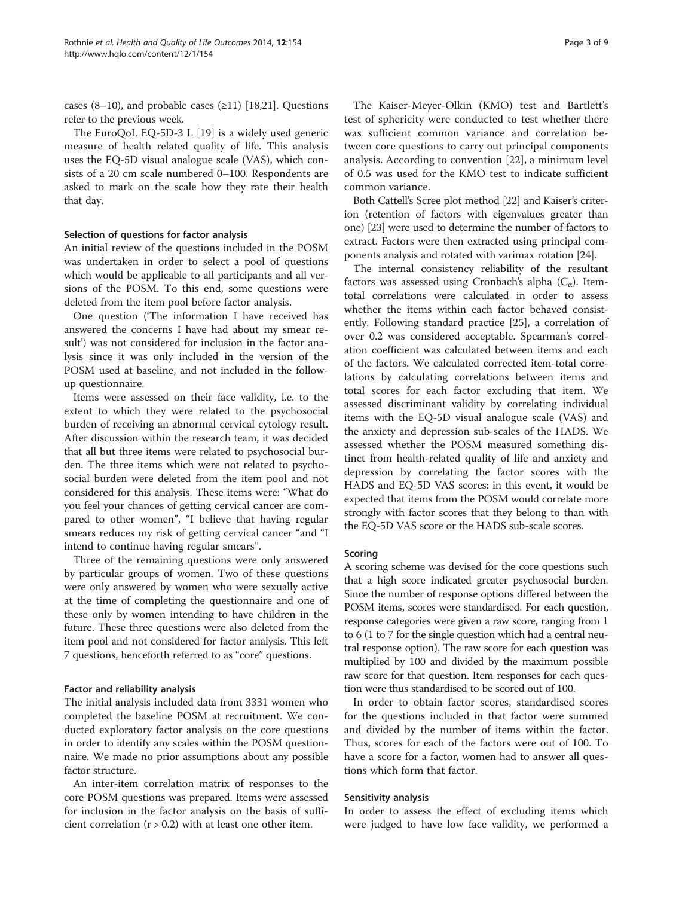cases (8–10), and probable cases ( $\geq$ 11) [\[18,21\]](#page-8-0). Questions refer to the previous week.

The EuroQoL EQ-5D-3 L [\[19\]](#page-8-0) is a widely used generic measure of health related quality of life. This analysis uses the EQ-5D visual analogue scale (VAS), which consists of a 20 cm scale numbered 0–100. Respondents are asked to mark on the scale how they rate their health that day.

#### Selection of questions for factor analysis

An initial review of the questions included in the POSM was undertaken in order to select a pool of questions which would be applicable to all participants and all versions of the POSM. To this end, some questions were deleted from the item pool before factor analysis.

One question ('The information I have received has answered the concerns I have had about my smear result') was not considered for inclusion in the factor analysis since it was only included in the version of the POSM used at baseline, and not included in the followup questionnaire.

Items were assessed on their face validity, i.e. to the extent to which they were related to the psychosocial burden of receiving an abnormal cervical cytology result. After discussion within the research team, it was decided that all but three items were related to psychosocial burden. The three items which were not related to psychosocial burden were deleted from the item pool and not considered for this analysis. These items were: "What do you feel your chances of getting cervical cancer are compared to other women", "I believe that having regular smears reduces my risk of getting cervical cancer "and "I intend to continue having regular smears".

Three of the remaining questions were only answered by particular groups of women. Two of these questions were only answered by women who were sexually active at the time of completing the questionnaire and one of these only by women intending to have children in the future. These three questions were also deleted from the item pool and not considered for factor analysis. This left 7 questions, henceforth referred to as "core" questions.

#### Factor and reliability analysis

The initial analysis included data from 3331 women who completed the baseline POSM at recruitment. We conducted exploratory factor analysis on the core questions in order to identify any scales within the POSM questionnaire. We made no prior assumptions about any possible factor structure.

An inter-item correlation matrix of responses to the core POSM questions was prepared. Items were assessed for inclusion in the factor analysis on the basis of sufficient correlation  $(r > 0.2)$  with at least one other item.

The Kaiser-Meyer-Olkin (KMO) test and Bartlett's test of sphericity were conducted to test whether there was sufficient common variance and correlation between core questions to carry out principal components analysis. According to convention [[22\]](#page-8-0), a minimum level of 0.5 was used for the KMO test to indicate sufficient common variance.

Both Cattell's Scree plot method [\[22\]](#page-8-0) and Kaiser's criterion (retention of factors with eigenvalues greater than one) [\[23\]](#page-8-0) were used to determine the number of factors to extract. Factors were then extracted using principal components analysis and rotated with varimax rotation [\[24](#page-8-0)].

The internal consistency reliability of the resultant factors was assessed using Cronbach's alpha  $(C_{\alpha})$ . Itemtotal correlations were calculated in order to assess whether the items within each factor behaved consistently. Following standard practice [\[25\]](#page-8-0), a correlation of over 0.2 was considered acceptable. Spearman's correlation coefficient was calculated between items and each of the factors. We calculated corrected item-total correlations by calculating correlations between items and total scores for each factor excluding that item. We assessed discriminant validity by correlating individual items with the EQ-5D visual analogue scale (VAS) and the anxiety and depression sub-scales of the HADS. We assessed whether the POSM measured something distinct from health-related quality of life and anxiety and depression by correlating the factor scores with the HADS and EQ-5D VAS scores: in this event, it would be expected that items from the POSM would correlate more strongly with factor scores that they belong to than with the EQ-5D VAS score or the HADS sub-scale scores.

#### Scoring

A scoring scheme was devised for the core questions such that a high score indicated greater psychosocial burden. Since the number of response options differed between the POSM items, scores were standardised. For each question, response categories were given a raw score, ranging from 1 to 6 (1 to 7 for the single question which had a central neutral response option). The raw score for each question was multiplied by 100 and divided by the maximum possible raw score for that question. Item responses for each question were thus standardised to be scored out of 100.

In order to obtain factor scores, standardised scores for the questions included in that factor were summed and divided by the number of items within the factor. Thus, scores for each of the factors were out of 100. To have a score for a factor, women had to answer all questions which form that factor.

#### Sensitivity analysis

In order to assess the effect of excluding items which were judged to have low face validity, we performed a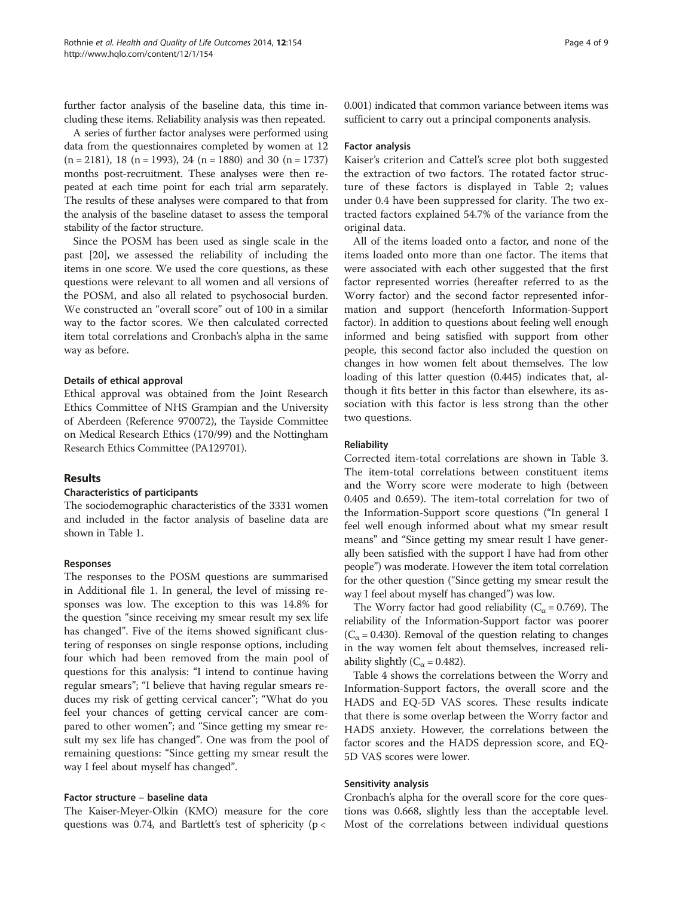further factor analysis of the baseline data, this time including these items. Reliability analysis was then repeated.

A series of further factor analyses were performed using data from the questionnaires completed by women at 12  $(n = 2181)$ , 18  $(n = 1993)$ , 24  $(n = 1880)$  and 30  $(n = 1737)$ months post-recruitment. These analyses were then repeated at each time point for each trial arm separately. The results of these analyses were compared to that from the analysis of the baseline dataset to assess the temporal stability of the factor structure.

Since the POSM has been used as single scale in the past [\[20\]](#page-8-0), we assessed the reliability of including the items in one score. We used the core questions, as these questions were relevant to all women and all versions of the POSM, and also all related to psychosocial burden. We constructed an "overall score" out of 100 in a similar way to the factor scores. We then calculated corrected item total correlations and Cronbach's alpha in the same way as before.

#### Details of ethical approval

Ethical approval was obtained from the Joint Research Ethics Committee of NHS Grampian and the University of Aberdeen (Reference 970072), the Tayside Committee on Medical Research Ethics (170/99) and the Nottingham Research Ethics Committee (PA129701).

#### Results

#### Characteristics of participants

The sociodemographic characteristics of the 3331 women and included in the factor analysis of baseline data are shown in Table [1.](#page-4-0)

#### Responses

The responses to the POSM questions are summarised in Additional file [1](#page-7-0). In general, the level of missing responses was low. The exception to this was 14.8% for the question "since receiving my smear result my sex life has changed". Five of the items showed significant clustering of responses on single response options, including four which had been removed from the main pool of questions for this analysis: "I intend to continue having regular smears"; "I believe that having regular smears reduces my risk of getting cervical cancer"; "What do you feel your chances of getting cervical cancer are compared to other women"; and "Since getting my smear result my sex life has changed". One was from the pool of remaining questions: "Since getting my smear result the way I feel about myself has changed".

#### Factor structure – baseline data

The Kaiser-Meyer-Olkin (KMO) measure for the core questions was 0.74, and Bartlett's test of sphericity ( $p <$ 

0.001) indicated that common variance between items was sufficient to carry out a principal components analysis.

#### Factor analysis

Kaiser's criterion and Cattel's scree plot both suggested the extraction of two factors. The rotated factor structure of these factors is displayed in Table [2](#page-4-0); values under 0.4 have been suppressed for clarity. The two extracted factors explained 54.7% of the variance from the original data.

All of the items loaded onto a factor, and none of the items loaded onto more than one factor. The items that were associated with each other suggested that the first factor represented worries (hereafter referred to as the Worry factor) and the second factor represented information and support (henceforth Information-Support factor). In addition to questions about feeling well enough informed and being satisfied with support from other people, this second factor also included the question on changes in how women felt about themselves. The low loading of this latter question (0.445) indicates that, although it fits better in this factor than elsewhere, its association with this factor is less strong than the other two questions.

#### Reliability

Corrected item-total correlations are shown in Table [3](#page-5-0). The item-total correlations between constituent items and the Worry score were moderate to high (between 0.405 and 0.659). The item-total correlation for two of the Information-Support score questions ("In general I feel well enough informed about what my smear result means" and "Since getting my smear result I have generally been satisfied with the support I have had from other people") was moderate. However the item total correlation for the other question ("Since getting my smear result the way I feel about myself has changed") was low.

The Worry factor had good reliability ( $C_{\alpha}$  = 0.769). The reliability of the Information-Support factor was poorer ( $C_{\alpha}$  = 0.430). Removal of the question relating to changes in the way women felt about themselves, increased reliability slightly ( $C_{\alpha}$  = 0.482).

Table [4](#page-5-0) shows the correlations between the Worry and Information-Support factors, the overall score and the HADS and EQ-5D VAS scores. These results indicate that there is some overlap between the Worry factor and HADS anxiety. However, the correlations between the factor scores and the HADS depression score, and EQ-5D VAS scores were lower.

#### Sensitivity analysis

Cronbach's alpha for the overall score for the core questions was 0.668, slightly less than the acceptable level. Most of the correlations between individual questions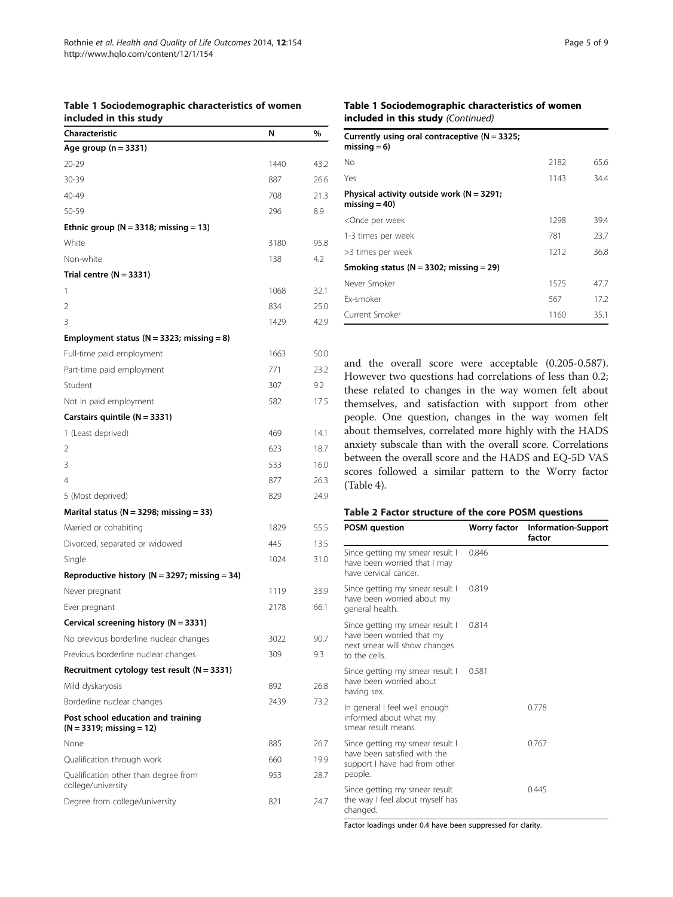<span id="page-4-0"></span>

| Table 1 Sociodemographic characteristics of women |  |
|---------------------------------------------------|--|
| included in this study                            |  |

| Characteristic                                                   | N    | %    |
|------------------------------------------------------------------|------|------|
| Age group (n = 3331)                                             |      |      |
| $20 - 29$                                                        | 1440 | 43.2 |
| 30-39                                                            | 887  | 26.6 |
| 40-49                                                            | 708  | 21.3 |
| 50-59                                                            | 296  | 8.9  |
| Ethnic group ( $N = 3318$ ; missing = 13)                        |      |      |
| White                                                            | 3180 | 95.8 |
| Non-white                                                        | 138  | 4.2  |
| Trial centre $(N = 3331)$                                        |      |      |
| 1                                                                | 1068 | 32.1 |
| 2                                                                | 834  | 25.0 |
| 3                                                                | 1429 | 42.9 |
| Employment status ( $N = 3323$ ; missing = 8)                    |      |      |
| Full-time paid employment                                        | 1663 | 50.0 |
| Part-time paid employment                                        | 771  | 23.2 |
| Student                                                          | 307  | 9.2  |
| Not in paid employment                                           | 582  | 17.5 |
| Carstairs quintile $(N = 3331)$                                  |      |      |
| 1 (Least deprived)                                               | 469  | 14.1 |
| 2                                                                | 623  | 18.7 |
| 3                                                                | 533  | 16.0 |
| 4                                                                | 877  | 26.3 |
| 5 (Most deprived)                                                | 829  | 24.9 |
| Marital status ( $N = 3298$ ; missing = 33)                      |      |      |
| Married or cohabiting                                            | 1829 | 55.5 |
| Divorced, separated or widowed                                   | 445  | 13.5 |
| Single                                                           | 1024 | 31.0 |
| Reproductive history ( $N = 3297$ ; missing = 34)                |      |      |
| Never pregnant                                                   | 1119 | 33.9 |
| Ever pregnant                                                    | 2178 | 66.1 |
| Cervical screening history (N = 3331)                            |      |      |
| No previous borderline nuclear changes                           | 3022 | 90.7 |
| Previous borderline nuclear changes                              | 309  | 9.3  |
| Recruitment cytology test result ( $N = 3331$ )                  |      |      |
| Mild dyskaryosis                                                 | 892  | 26.8 |
| Borderline nuclear changes                                       | 2439 | 73.2 |
| Post school education and training<br>$(N = 3319; missing = 12)$ |      |      |
| None                                                             | 885  | 26.7 |
| Qualification through work                                       | 660  | 19.9 |
| Qualification other than degree from<br>college/university       | 953  | 28.7 |
| Degree from college/university                                   | 821  | 24.7 |
|                                                                  |      |      |

# Table 1 Sociodemographic characteristics of women

included in this study (Continued)

| Currently using oral contraceptive ( $N = 3325$ ;<br>$missing = 6$ |      |      |
|--------------------------------------------------------------------|------|------|
| Νo                                                                 | 2182 | 65.6 |
| Yes                                                                | 1143 | 34.4 |
| Physical activity outside work ( $N = 3291$ ;<br>$missing = 40$    |      |      |
| <once per="" td="" week<=""><td>1298</td><td>39.4</td></once>      | 1298 | 39.4 |
| 1-3 times per week                                                 | 781  | 23.7 |
| >3 times per week                                                  | 1212 | 36.8 |
| Smoking status ( $N = 3302$ ; missing $= 29$ )                     |      |      |
| Never Smoker                                                       | 1575 | 47.7 |
| Fx-smoker                                                          | 567  | 17.2 |
| Current Smoker                                                     | 1160 | 35.1 |

and the overall score were acceptable (0.205-0.587). However two questions had correlations of less than 0.2; these related to changes in the way women felt about themselves, and satisfaction with support from other people. One question, changes in the way women felt about themselves, correlated more highly with the HADS anxiety subscale than with the overall score. Correlations between the overall score and the HADS and EQ-5D VAS scores followed a similar pattern to the Worry factor (Table [4](#page-5-0)).

#### Table 2 Factor structure of the core POSM questions

| <b>POSM</b> question                                                                                          | Worry factor | <b>Information-Support</b><br>factor |
|---------------------------------------------------------------------------------------------------------------|--------------|--------------------------------------|
| Since getting my smear result I<br>have been worried that I may<br>have cervical cancer.                      | 0.846        |                                      |
| Since getting my smear result I<br>have been worried about my<br>general health.                              | 0.819        |                                      |
| Since getting my smear result I<br>have been worried that my<br>next smear will show changes<br>to the cells. | 0.814        |                                      |
| Since getting my smear result I<br>have been worried about<br>having sex.                                     | 0.581        |                                      |
| In general I feel well enough<br>informed about what my<br>smear result means.                                |              | 0.778                                |
| Since getting my smear result I<br>have been satisfied with the<br>support I have had from other<br>people.   |              | 0.767                                |
| Since getting my smear result<br>the way I feel about myself has<br>changed.                                  |              | 0.445                                |

Factor loadings under 0.4 have been suppressed for clarity.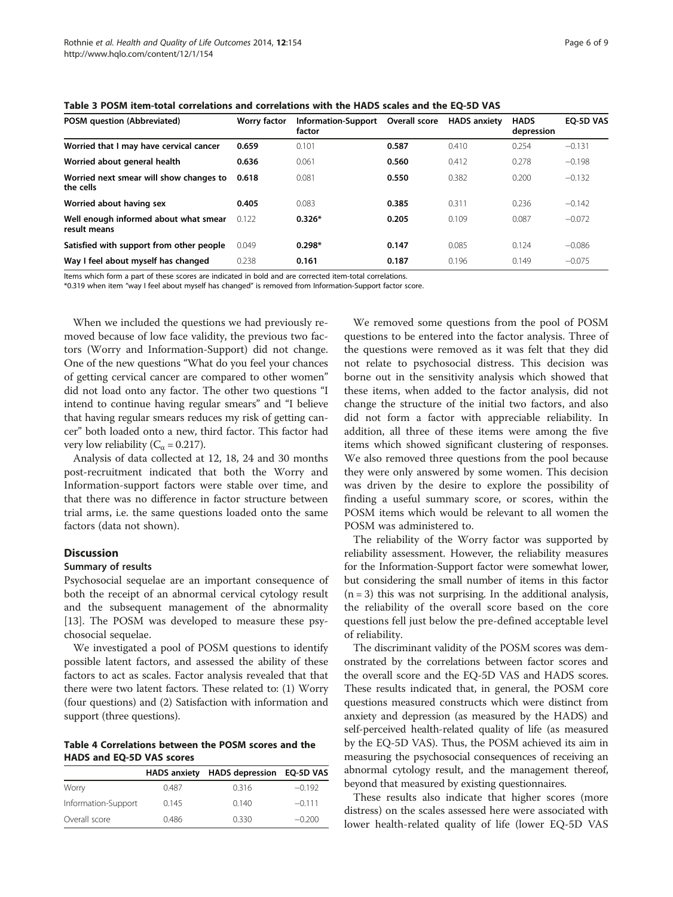<span id="page-5-0"></span>Table 3 POSM item-total correlations and correlations with the HADS scales and the EQ-5D VAS

| POSM question (Abbreviated)                           | <b>Worry factor</b> | Information-Support<br>factor | Overall score | <b>HADS</b> anxiety | <b>HADS</b><br>depression | EO-5D VAS |
|-------------------------------------------------------|---------------------|-------------------------------|---------------|---------------------|---------------------------|-----------|
| Worried that I may have cervical cancer               | 0.659               | 0.101                         | 0.587         | 0.410               | 0.254                     | $-0.131$  |
| Worried about general health                          | 0.636               | 0.061                         | 0.560         | 0.412               | 0.278                     | $-0.198$  |
| Worried next smear will show changes to<br>the cells  | 0.618               | 0.081                         | 0.550         | 0.382               | 0.200                     | $-0.132$  |
| Worried about having sex                              | 0.405               | 0.083                         | 0.385         | 0.311               | 0.236                     | $-0.142$  |
| Well enough informed about what smear<br>result means | 0.122               | $0.326*$                      | 0.205         | 0.109               | 0.087                     | $-0.072$  |
| Satisfied with support from other people              | 0.049               | $0.298*$                      | 0.147         | 0.085               | 0.124                     | $-0.086$  |
| Way I feel about myself has changed                   | 0.238               | 0.161                         | 0.187         | 0.196               | 0.149                     | $-0.075$  |

Items which form a part of these scores are indicated in bold and are corrected item-total correlations.

\*0.319 when item "way I feel about myself has changed" is removed from Information-Support factor score.

When we included the questions we had previously removed because of low face validity, the previous two factors (Worry and Information-Support) did not change. One of the new questions "What do you feel your chances of getting cervical cancer are compared to other women" did not load onto any factor. The other two questions "I intend to continue having regular smears" and "I believe that having regular smears reduces my risk of getting cancer" both loaded onto a new, third factor. This factor had very low reliability ( $C_{\alpha}$  = 0.217).

Analysis of data collected at 12, 18, 24 and 30 months post-recruitment indicated that both the Worry and Information-support factors were stable over time, and that there was no difference in factor structure between trial arms, i.e. the same questions loaded onto the same factors (data not shown).

#### **Discussion**

#### Summary of results

Psychosocial sequelae are an important consequence of both the receipt of an abnormal cervical cytology result and the subsequent management of the abnormality [[13\]](#page-7-0). The POSM was developed to measure these psychosocial sequelae.

We investigated a pool of POSM questions to identify possible latent factors, and assessed the ability of these factors to act as scales. Factor analysis revealed that that there were two latent factors. These related to: (1) Worry (four questions) and (2) Satisfaction with information and support (three questions).

Table 4 Correlations between the POSM scores and the HADS and EQ-5D VAS scores

|                     | <b>HADS</b> anxiety | HADS depression EQ-5D VAS |          |
|---------------------|---------------------|---------------------------|----------|
| Worry               | 0.487               | 0.316                     | $-0.192$ |
| Information-Support | 0.145               | 0.140                     | $-0.111$ |
| Overall score       | 0.486               | 0.330                     | $-0.200$ |

We removed some questions from the pool of POSM questions to be entered into the factor analysis. Three of the questions were removed as it was felt that they did not relate to psychosocial distress. This decision was borne out in the sensitivity analysis which showed that these items, when added to the factor analysis, did not change the structure of the initial two factors, and also did not form a factor with appreciable reliability. In addition, all three of these items were among the five items which showed significant clustering of responses. We also removed three questions from the pool because they were only answered by some women. This decision was driven by the desire to explore the possibility of finding a useful summary score, or scores, within the POSM items which would be relevant to all women the POSM was administered to.

The reliability of the Worry factor was supported by reliability assessment. However, the reliability measures for the Information-Support factor were somewhat lower, but considering the small number of items in this factor  $(n = 3)$  this was not surprising. In the additional analysis, the reliability of the overall score based on the core questions fell just below the pre-defined acceptable level of reliability.

The discriminant validity of the POSM scores was demonstrated by the correlations between factor scores and the overall score and the EQ-5D VAS and HADS scores. These results indicated that, in general, the POSM core questions measured constructs which were distinct from anxiety and depression (as measured by the HADS) and self-perceived health-related quality of life (as measured by the EQ-5D VAS). Thus, the POSM achieved its aim in measuring the psychosocial consequences of receiving an abnormal cytology result, and the management thereof, beyond that measured by existing questionnaires.

These results also indicate that higher scores (more distress) on the scales assessed here were associated with lower health-related quality of life (lower EQ-5D VAS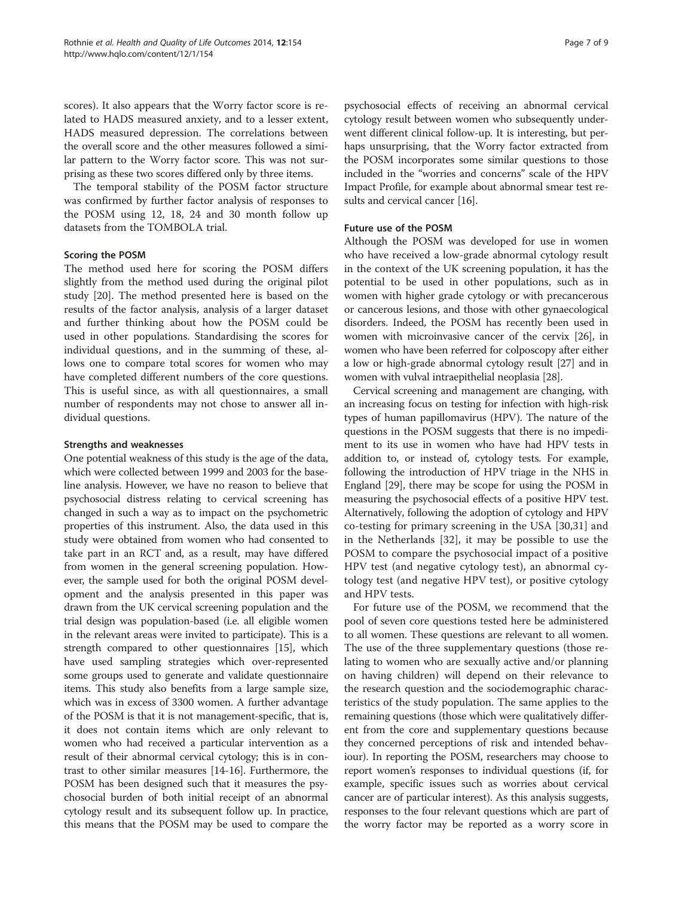scores). It also appears that the Worry factor score is related to HADS measured anxiety, and to a lesser extent, HADS measured depression. The correlations between the overall score and the other measures followed a similar pattern to the Worry factor score. This was not surprising as these two scores differed only by three items.

The temporal stability of the POSM factor structure was confirmed by further factor analysis of responses to the POSM using 12, 18, 24 and 30 month follow up datasets from the TOMBOLA trial.

#### Scoring the POSM

The method used here for scoring the POSM differs slightly from the method used during the original pilot study [[20\]](#page-8-0). The method presented here is based on the results of the factor analysis, analysis of a larger dataset and further thinking about how the POSM could be used in other populations. Standardising the scores for individual questions, and in the summing of these, allows one to compare total scores for women who may have completed different numbers of the core questions. This is useful since, as with all questionnaires, a small number of respondents may not chose to answer all individual questions.

#### Strengths and weaknesses

One potential weakness of this study is the age of the data, which were collected between 1999 and 2003 for the baseline analysis. However, we have no reason to believe that psychosocial distress relating to cervical screening has changed in such a way as to impact on the psychometric properties of this instrument. Also, the data used in this study were obtained from women who had consented to take part in an RCT and, as a result, may have differed from women in the general screening population. However, the sample used for both the original POSM development and the analysis presented in this paper was drawn from the UK cervical screening population and the trial design was population-based (i.e. all eligible women in the relevant areas were invited to participate). This is a strength compared to other questionnaires [\[15](#page-8-0)], which have used sampling strategies which over-represented some groups used to generate and validate questionnaire items. This study also benefits from a large sample size, which was in excess of 3300 women. A further advantage of the POSM is that it is not management-specific, that is, it does not contain items which are only relevant to women who had received a particular intervention as a result of their abnormal cervical cytology; this is in contrast to other similar measures [[14](#page-7-0)-[16](#page-8-0)]. Furthermore, the POSM has been designed such that it measures the psychosocial burden of both initial receipt of an abnormal cytology result and its subsequent follow up. In practice, this means that the POSM may be used to compare the

psychosocial effects of receiving an abnormal cervical cytology result between women who subsequently underwent different clinical follow-up. It is interesting, but perhaps unsurprising, that the Worry factor extracted from the POSM incorporates some similar questions to those included in the "worries and concerns" scale of the HPV Impact Profile, for example about abnormal smear test results and cervical cancer [\[16\]](#page-8-0).

#### Future use of the POSM

Although the POSM was developed for use in women who have received a low-grade abnormal cytology result in the context of the UK screening population, it has the potential to be used in other populations, such as in women with higher grade cytology or with precancerous or cancerous lesions, and those with other gynaecological disorders. Indeed, the POSM has recently been used in women with microinvasive cancer of the cervix [[26](#page-8-0)], in women who have been referred for colposcopy after either a low or high-grade abnormal cytology result [\[27\]](#page-8-0) and in women with vulval intraepithelial neoplasia [\[28](#page-8-0)].

Cervical screening and management are changing, with an increasing focus on testing for infection with high-risk types of human papillomavirus (HPV). The nature of the questions in the POSM suggests that there is no impediment to its use in women who have had HPV tests in addition to, or instead of, cytology tests. For example, following the introduction of HPV triage in the NHS in England [[29](#page-8-0)], there may be scope for using the POSM in measuring the psychosocial effects of a positive HPV test. Alternatively, following the adoption of cytology and HPV co-testing for primary screening in the USA [[30,31](#page-8-0)] and in the Netherlands [[32\]](#page-8-0), it may be possible to use the POSM to compare the psychosocial impact of a positive HPV test (and negative cytology test), an abnormal cytology test (and negative HPV test), or positive cytology and HPV tests.

For future use of the POSM, we recommend that the pool of seven core questions tested here be administered to all women. These questions are relevant to all women. The use of the three supplementary questions (those relating to women who are sexually active and/or planning on having children) will depend on their relevance to the research question and the sociodemographic characteristics of the study population. The same applies to the remaining questions (those which were qualitatively different from the core and supplementary questions because they concerned perceptions of risk and intended behaviour). In reporting the POSM, researchers may choose to report women's responses to individual questions (if, for example, specific issues such as worries about cervical cancer are of particular interest). As this analysis suggests, responses to the four relevant questions which are part of the worry factor may be reported as a worry score in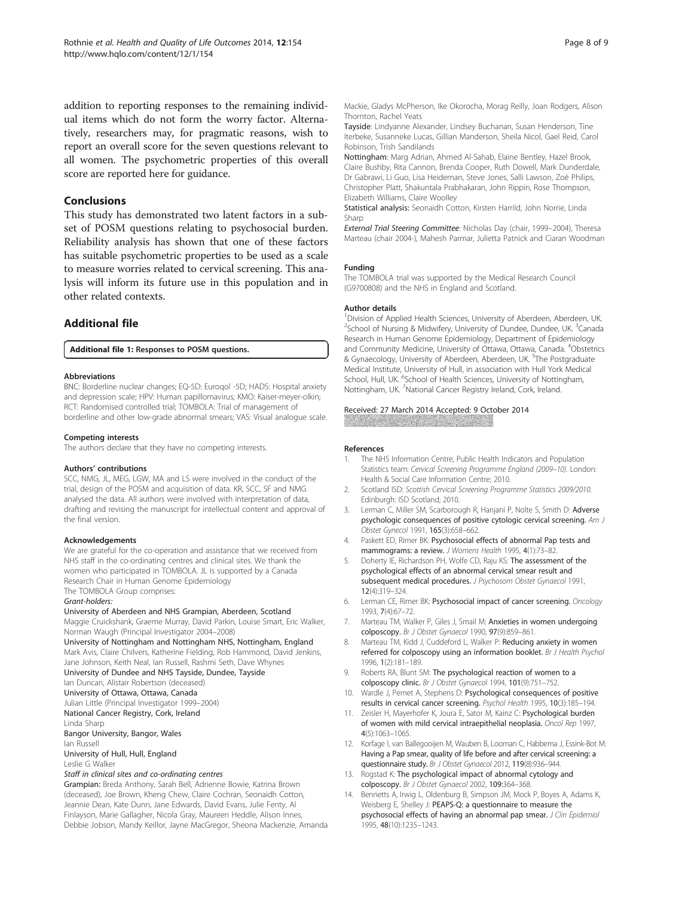<span id="page-7-0"></span>addition to reporting responses to the remaining individual items which do not form the worry factor. Alternatively, researchers may, for pragmatic reasons, wish to report an overall score for the seven questions relevant to all women. The psychometric properties of this overall score are reported here for guidance.

#### **Conclusions**

This study has demonstrated two latent factors in a subset of POSM questions relating to psychosocial burden. Reliability analysis has shown that one of these factors has suitable psychometric properties to be used as a scale to measure worries related to cervical screening. This analysis will inform its future use in this population and in other related contexts.

# Additional file

[Additional file 1:](http://www.hqlo.com/content/supplementary/s12955-014-0154-8-s1.docx) Responses to POSM questions.

#### Abbreviations

BNC: Borderline nuclear changes; EQ-5D: Euroqol -5D; HADS: Hospital anxiety and depression scale; HPV: Human papillomavirus; KMO: Kaiser-meyer-olkin; RCT: Randomised controlled trial; TOMBOLA: Trial of management of borderline and other low-grade abnormal smears; VAS: Visual analogue scale.

#### Competing interests

The authors declare that they have no competing interests.

#### Authors' contributions

SCC, NMG, JL, MEG, LGW, MA and LS were involved in the conduct of the trial, design of the POSM and acquisition of data. KR, SCC, SF and NMG analysed the data. All authors were involved with interpretation of data, drafting and revising the manuscript for intellectual content and approval of the final version.

#### Acknowledgements

We are grateful for the co-operation and assistance that we received from NHS staff in the co-ordinating centres and clinical sites. We thank the women who participated in TOMBOLA. JL is supported by a Canada Research Chair in Human Genome Epidemiology

The TOMBOLA Group comprises: Grant-holders:

# University of Aberdeen and NHS Grampian, Aberdeen, Scotland

Maggie Cruickshank, Graeme Murray, David Parkin, Louise Smart, Eric Walker, Norman Waugh (Principal Investigator 2004–2008)

#### University of Nottingham and Nottingham NHS, Nottingham, England

Mark Avis, Claire Chilvers, Katherine Fielding, Rob Hammond, David Jenkins, Jane Johnson, Keith Neal, Ian Russell, Rashmi Seth, Dave Whynes

# University of Dundee and NHS Tayside, Dundee, Tayside

Ian Duncan, Alistair Robertson (deceased)

University of Ottawa, Ottawa, Canada

Julian Little (Principal Investigator 1999–2004) National Cancer Registry, Cork, Ireland

Linda Sharp

# Bangor University, Bangor, Wales

Ian Russell

University of Hull, Hull, England

#### Leslie G Walker

# Staff in clinical sites and co-ordinating centres

Grampian: Breda Anthony, Sarah Bell, Adrienne Bowie, Katrina Brown (deceased), Joe Brown, Kheng Chew, Claire Cochran, Seonaidh Cotton, Jeannie Dean, Kate Dunn, Jane Edwards, David Evans, Julie Fenty, Al Finlayson, Marie Gallagher, Nicola Gray, Maureen Heddle, Alison Innes, Debbie Jobson, Mandy Keillor, Jayne MacGregor, Sheona Mackenzie, Amanda Mackie, Gladys McPherson, Ike Okorocha, Morag Reilly, Joan Rodgers, Alison Thornton, Rachel Yeats

Tayside: Lindyanne Alexander, Lindsey Buchanan, Susan Henderson, Tine Iterbeke, Susanneke Lucas, Gillian Manderson, Sheila Nicol, Gael Reid, Carol Robinson, Trish Sandilands

Nottingham: Marg Adrian, Ahmed Al-Sahab, Elaine Bentley, Hazel Brook, Claire Bushby, Rita Cannon, Brenda Cooper, Ruth Dowell, Mark Dunderdale, Dr Gabrawi, Li Guo, Lisa Heideman, Steve Jones, Salli Lawson, Zoë Philips, Christopher Platt, Shakuntala Prabhakaran, John Rippin, Rose Thompson, Elizabeth Williams, Claire Woolley

Statistical analysis: Seonaidh Cotton, Kirsten Harrild, John Norrie, Linda Sharp

External Trial Steering Committee: Nicholas Day (chair, 1999–2004), Theresa Marteau (chair 2004-), Mahesh Parmar, Julietta Patnick and Ciaran Woodman

#### Funding

The TOMBOLA trial was supported by the Medical Research Council (G9700808) and the NHS in England and Scotland.

#### Author details

<sup>1</sup> Division of Applied Health Sciences, University of Aberdeen, Aberdeen, UK <sup>2</sup>School of Nursing & Midwifery, University of Dundee, Dundee, UK.<sup>3</sup>Canada Research in Human Genome Epidemiology, Department of Epidemiology and Community Medicine, University of Ottawa, Ottawa, Canada. <sup>4</sup>Obstetrics & Gynaecology, University of Aberdeen, Aberdeen, UK. <sup>5</sup>The Postgraduate Medical Institute, University of Hull, in association with Hull York Medical School, Hull, UK. <sup>6</sup>School of Health Sciences, University of Nottingham, Nottingham, UK.<sup>7</sup>National Cancer Registry Ireland, Cork, Ireland

#### Received: 27 March 2014 Accepted: 9 October 2014

#### References

- 1. The NHS Information Centre, Public Health Indicators and Population Statistics team: Cervical Screening Programme England (2009–10). London: Health & Social Care Information Centre; 2010.
- 2. Scotland ISD: Scottish Cervical Screening Programme Statistics 2009/2010. Edinburgh: ISD Scotland; 2010.
- 3. Lerman C, Miller SM, Scarborough R, Hanjani P, Nolte S, Smith D: Adverse psychologic consequences of positive cytologic cervical screening. Am J Obstet Gynecol 1991, 165(3):658–662.
- 4. Paskett ED, Rimer BK: Psychosocial effects of abnormal Pap tests and mammograms: a review. J Womens Health 1995, 4(1):73-82.
- 5. Doherty IE, Richardson PH, Wolfe CD, Raju KS: The assessment of the psychological effects of an abnormal cervical smear result and subsequent medical procedures. J Psychosom Obstet Gynaecol 1991, 12(4):319–324.
- 6. Lerman CE, Rimer BK: Psychosocial impact of cancer screening. Oncology 1993, 7(4):67–72.
- 7. Marteau TM, Walker P, Giles J, Smail M: Anxieties in women undergoing colposcopy. Br J Obstet Gynaecol 1990, 97(9):859–861.
- 8. Marteau TM, Kidd J, Cuddeford L, Walker P: Reducing anxiety in women referred for colposcopy using an information booklet. Br J Health Psychol 1996, 1(2):181–189.
- 9. Roberts RA, Blunt SM: The psychological reaction of women to a colposcopy clinic. Br J Obstet Gynaecol 1994, 101(9):751–752.
- 10. Wardle J, Pernet A, Stephens D: Psychological consequences of positive results in cervical cancer screening. Psychol Health 1995, 10(3):185–194.
- 11. Zeisler H, Mayerhofer K, Joura E, Sator M, Kainz C: Psychological burden of women with mild cervical intraepithelial neoplasia. Oncol Rep 1997, 4(5):1063–1065.
- 12. Korfage I, van Ballegooijen M, Wauben B, Looman C, Habbema J, Essink-Bot M: Having a Pap smear, quality of life before and after cervical screening: a questionnaire study. Br J Obstet Gynaecol 2012, 119(8):936–944.
- 13. Rogstad K: The psychological impact of abnormal cytology and colposcopy. Br J Obstet Gynaecol 2002, 109:364–368.
- 14. Bennetts A, Irwig L, Oldenburg B, Simpson JM, Mock P, Boyes A, Adams K, Weisberg E, Shelley J: PEAPS-Q: a questionnaire to measure the psychosocial effects of having an abnormal pap smear. J Clin Epidemiol 1995, 48(10):1235–1243.